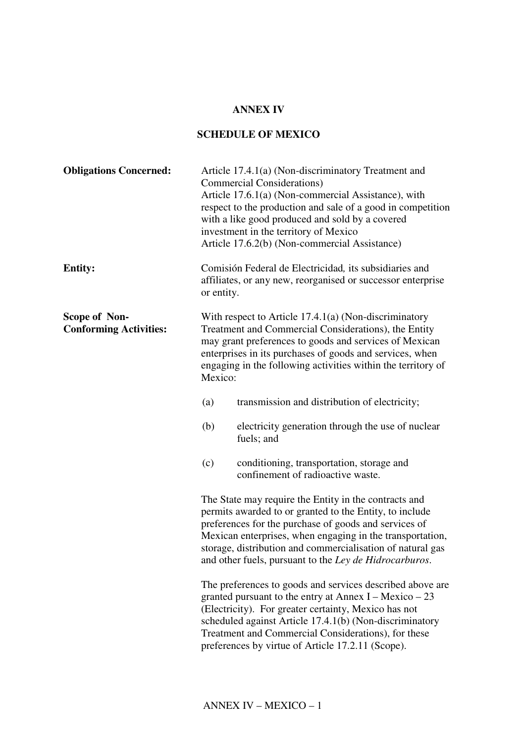## **ANNEX IV**

## **SCHEDULE OF MEXICO**

| <b>Obligations Concerned:</b>                  |                                                                                                                                                                                                                                                                                                                | Article 17.4.1(a) (Non-discriminatory Treatment and<br><b>Commercial Considerations</b> )<br>Article 17.6.1(a) (Non-commercial Assistance), with<br>respect to the production and sale of a good in competition<br>with a like good produced and sold by a covered<br>investment in the territory of Mexico<br>Article 17.6.2(b) (Non-commercial Assistance)   |
|------------------------------------------------|----------------------------------------------------------------------------------------------------------------------------------------------------------------------------------------------------------------------------------------------------------------------------------------------------------------|----------------------------------------------------------------------------------------------------------------------------------------------------------------------------------------------------------------------------------------------------------------------------------------------------------------------------------------------------------------|
| <b>Entity:</b>                                 | or entity.                                                                                                                                                                                                                                                                                                     | Comisión Federal de Electricidad, its subsidiaries and<br>affiliates, or any new, reorganised or successor enterprise                                                                                                                                                                                                                                          |
| Scope of Non-<br><b>Conforming Activities:</b> | With respect to Article 17.4.1(a) (Non-discriminatory<br>Treatment and Commercial Considerations), the Entity<br>may grant preferences to goods and services of Mexican<br>enterprises in its purchases of goods and services, when<br>engaging in the following activities within the territory of<br>Mexico: |                                                                                                                                                                                                                                                                                                                                                                |
|                                                | (a)                                                                                                                                                                                                                                                                                                            | transmission and distribution of electricity;                                                                                                                                                                                                                                                                                                                  |
|                                                | (b)                                                                                                                                                                                                                                                                                                            | electricity generation through the use of nuclear<br>fuels; and                                                                                                                                                                                                                                                                                                |
|                                                | (c)                                                                                                                                                                                                                                                                                                            | conditioning, transportation, storage and<br>confinement of radioactive waste.                                                                                                                                                                                                                                                                                 |
|                                                |                                                                                                                                                                                                                                                                                                                | The State may require the Entity in the contracts and<br>permits awarded to or granted to the Entity, to include<br>preferences for the purchase of goods and services of<br>Mexican enterprises, when engaging in the transportation,<br>storage, distribution and commercialisation of natural gas<br>and other fuels, pursuant to the Ley de Hidrocarburos. |
|                                                |                                                                                                                                                                                                                                                                                                                | The preferences to goods and services described above are<br>granted pursuant to the entry at Annex $I - Mexico - 23$<br>(Electricity). For greater certainty, Mexico has not<br>scheduled against Article 17.4.1(b) (Non-discriminatory<br>Treatment and Commercial Considerations), for these<br>preferences by virtue of Article 17.2.11 (Scope).           |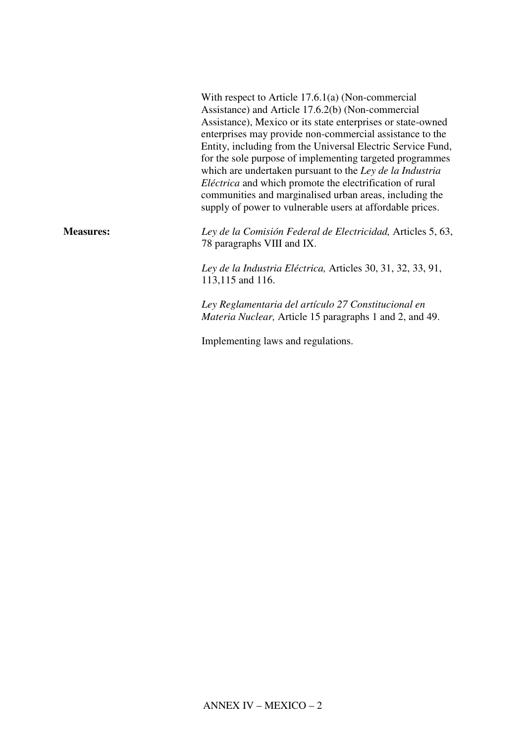|                  | With respect to Article $17.6.1(a)$ (Non-commercial<br>Assistance) and Article 17.6.2(b) (Non-commercial<br>Assistance), Mexico or its state enterprises or state-owned<br>enterprises may provide non-commercial assistance to the<br>Entity, including from the Universal Electric Service Fund,<br>for the sole purpose of implementing targeted programmes<br>which are undertaken pursuant to the Ley de la Industria<br><i>Eléctrica</i> and which promote the electrification of rural<br>communities and marginalised urban areas, including the<br>supply of power to vulnerable users at affordable prices. |
|------------------|-----------------------------------------------------------------------------------------------------------------------------------------------------------------------------------------------------------------------------------------------------------------------------------------------------------------------------------------------------------------------------------------------------------------------------------------------------------------------------------------------------------------------------------------------------------------------------------------------------------------------|
| <b>Measures:</b> | Ley de la Comisión Federal de Electricidad, Articles 5, 63,<br>78 paragraphs VIII and IX.                                                                                                                                                                                                                                                                                                                                                                                                                                                                                                                             |
|                  | Ley de la Industria Eléctrica, Articles 30, 31, 32, 33, 91,<br>113,115 and 116.                                                                                                                                                                                                                                                                                                                                                                                                                                                                                                                                       |
|                  | Ley Reglamentaria del artículo 27 Constitucional en<br><i>Materia Nuclear, Article 15 paragraphs 1 and 2, and 49.</i>                                                                                                                                                                                                                                                                                                                                                                                                                                                                                                 |

Implementing laws and regulations.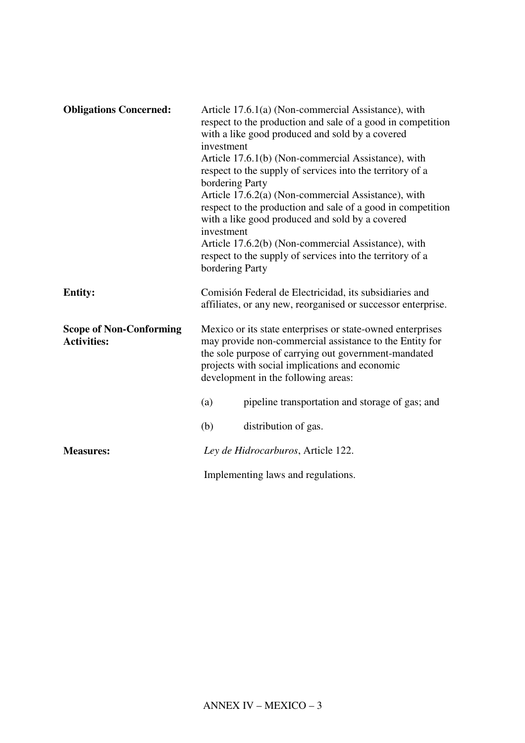| <b>Obligations Concerned:</b>                        | Article 17.6.1(a) (Non-commercial Assistance), with<br>respect to the production and sale of a good in competition<br>with a like good produced and sold by a covered<br>investment<br>Article 17.6.1(b) (Non-commercial Assistance), with<br>respect to the supply of services into the territory of a<br>bordering Party<br>Article 17.6.2(a) (Non-commercial Assistance), with<br>respect to the production and sale of a good in competition<br>with a like good produced and sold by a covered<br>investment<br>Article 17.6.2(b) (Non-commercial Assistance), with<br>respect to the supply of services into the territory of a<br>bordering Party |  |
|------------------------------------------------------|----------------------------------------------------------------------------------------------------------------------------------------------------------------------------------------------------------------------------------------------------------------------------------------------------------------------------------------------------------------------------------------------------------------------------------------------------------------------------------------------------------------------------------------------------------------------------------------------------------------------------------------------------------|--|
| <b>Entity:</b>                                       | Comisión Federal de Electricidad, its subsidiaries and<br>affiliates, or any new, reorganised or successor enterprise.                                                                                                                                                                                                                                                                                                                                                                                                                                                                                                                                   |  |
| <b>Scope of Non-Conforming</b><br><b>Activities:</b> | Mexico or its state enterprises or state-owned enterprises<br>may provide non-commercial assistance to the Entity for<br>the sole purpose of carrying out government-mandated<br>projects with social implications and economic<br>development in the following areas:                                                                                                                                                                                                                                                                                                                                                                                   |  |
|                                                      | pipeline transportation and storage of gas; and<br>(a)                                                                                                                                                                                                                                                                                                                                                                                                                                                                                                                                                                                                   |  |
|                                                      | (b)<br>distribution of gas.                                                                                                                                                                                                                                                                                                                                                                                                                                                                                                                                                                                                                              |  |
| <b>Measures:</b>                                     | Ley de Hidrocarburos, Article 122.                                                                                                                                                                                                                                                                                                                                                                                                                                                                                                                                                                                                                       |  |
|                                                      | Implementing laws and regulations.                                                                                                                                                                                                                                                                                                                                                                                                                                                                                                                                                                                                                       |  |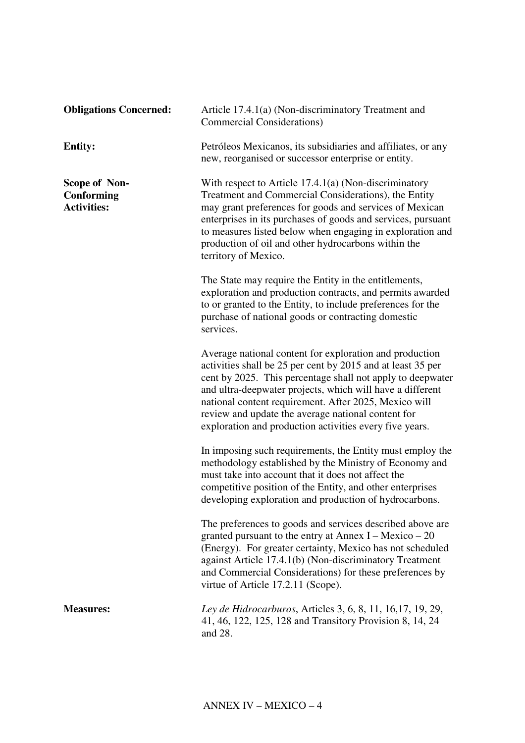| <b>Obligations Concerned:</b>                            | Article 17.4.1(a) (Non-discriminatory Treatment and<br>Commercial Considerations)                                                                                                                                                                                                                                                                                                                                           |
|----------------------------------------------------------|-----------------------------------------------------------------------------------------------------------------------------------------------------------------------------------------------------------------------------------------------------------------------------------------------------------------------------------------------------------------------------------------------------------------------------|
| <b>Entity:</b>                                           | Petróleos Mexicanos, its subsidiaries and affiliates, or any<br>new, reorganised or successor enterprise or entity.                                                                                                                                                                                                                                                                                                         |
| <b>Scope of Non-</b><br>Conforming<br><b>Activities:</b> | With respect to Article $17.4.1(a)$ (Non-discriminatory<br>Treatment and Commercial Considerations), the Entity<br>may grant preferences for goods and services of Mexican<br>enterprises in its purchases of goods and services, pursuant<br>to measures listed below when engaging in exploration and<br>production of oil and other hydrocarbons within the<br>territory of Mexico.                                      |
|                                                          | The State may require the Entity in the entitlements,<br>exploration and production contracts, and permits awarded<br>to or granted to the Entity, to include preferences for the<br>purchase of national goods or contracting domestic<br>services.                                                                                                                                                                        |
|                                                          | Average national content for exploration and production<br>activities shall be 25 per cent by 2015 and at least 35 per<br>cent by 2025. This percentage shall not apply to deepwater<br>and ultra-deepwater projects, which will have a different<br>national content requirement. After 2025, Mexico will<br>review and update the average national content for<br>exploration and production activities every five years. |
|                                                          | In imposing such requirements, the Entity must employ the<br>methodology established by the Ministry of Economy and<br>must take into account that it does not affect the<br>competitive position of the Entity, and other enterprises<br>developing exploration and production of hydrocarbons.                                                                                                                            |
|                                                          | The preferences to goods and services described above are<br>granted pursuant to the entry at Annex $I - Mexico - 20$<br>(Energy). For greater certainty, Mexico has not scheduled<br>against Article 17.4.1(b) (Non-discriminatory Treatment<br>and Commercial Considerations) for these preferences by<br>virtue of Article 17.2.11 (Scope).                                                                              |
| <b>Measures:</b>                                         | Ley de Hidrocarburos, Articles 3, 6, 8, 11, 16, 17, 19, 29,<br>41, 46, 122, 125, 128 and Transitory Provision 8, 14, 24<br>and 28.                                                                                                                                                                                                                                                                                          |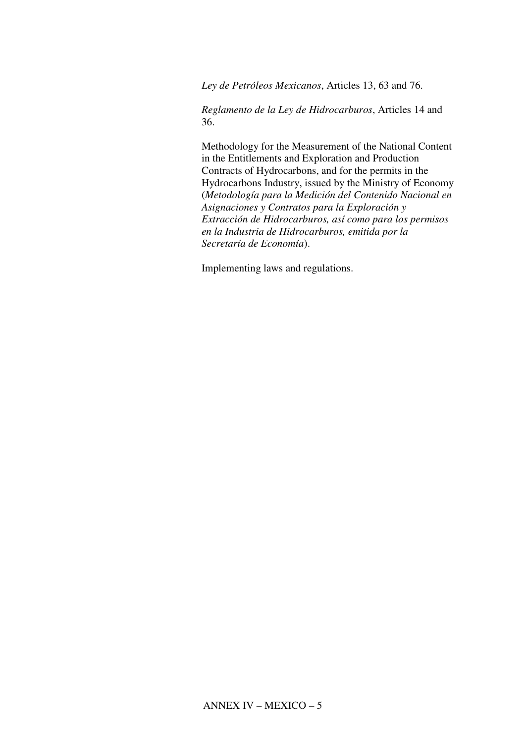*Ley de Petróleos Mexicanos*, Articles 13, 63 and 76.

*Reglamento de la Ley de Hidrocarburos*, Articles 14 and 36.

Methodology for the Measurement of the National Content in the Entitlements and Exploration and Production Contracts of Hydrocarbons, and for the permits in the Hydrocarbons Industry, issued by the Ministry of Economy (*Metodología para la Medición del Contenido Nacional en Asignaciones y Contratos para la Exploración y Extracción de Hidrocarburos, así como para los permisos en la Industria de Hidrocarburos, emitida por la Secretaría de Economía*).

Implementing laws and regulations.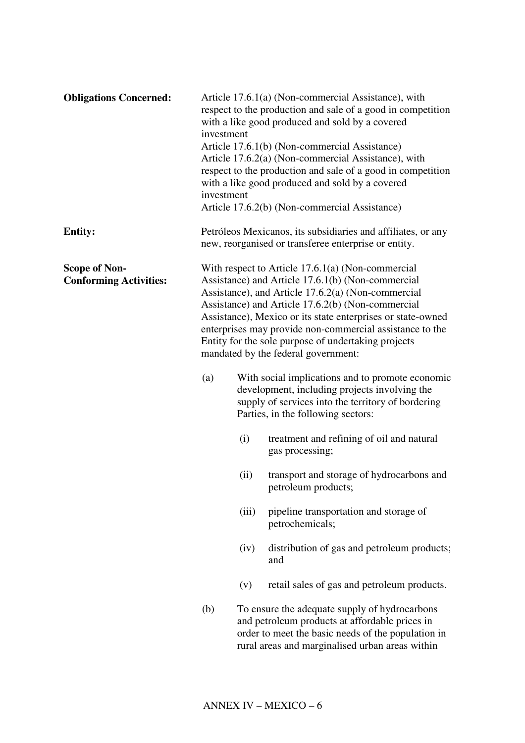| <b>Obligations Concerned:</b>                         | investment<br>investment                                                                                                                                                                                                                                                                                                                                                                                                                     |       | Article 17.6.1(a) (Non-commercial Assistance), with<br>respect to the production and sale of a good in competition<br>with a like good produced and sold by a covered<br>Article 17.6.1(b) (Non-commercial Assistance)<br>Article 17.6.2(a) (Non-commercial Assistance), with<br>respect to the production and sale of a good in competition<br>with a like good produced and sold by a covered<br>Article 17.6.2(b) (Non-commercial Assistance) |
|-------------------------------------------------------|----------------------------------------------------------------------------------------------------------------------------------------------------------------------------------------------------------------------------------------------------------------------------------------------------------------------------------------------------------------------------------------------------------------------------------------------|-------|--------------------------------------------------------------------------------------------------------------------------------------------------------------------------------------------------------------------------------------------------------------------------------------------------------------------------------------------------------------------------------------------------------------------------------------------------|
| <b>Entity:</b>                                        |                                                                                                                                                                                                                                                                                                                                                                                                                                              |       | Petróleos Mexicanos, its subsidiaries and affiliates, or any<br>new, reorganised or transferee enterprise or entity.                                                                                                                                                                                                                                                                                                                             |
| <b>Scope of Non-</b><br><b>Conforming Activities:</b> | With respect to Article $17.6.1(a)$ (Non-commercial<br>Assistance) and Article 17.6.1(b) (Non-commercial<br>Assistance), and Article 17.6.2(a) (Non-commercial<br>Assistance) and Article 17.6.2(b) (Non-commercial<br>Assistance), Mexico or its state enterprises or state-owned<br>enterprises may provide non-commercial assistance to the<br>Entity for the sole purpose of undertaking projects<br>mandated by the federal government: |       |                                                                                                                                                                                                                                                                                                                                                                                                                                                  |
|                                                       | (a)                                                                                                                                                                                                                                                                                                                                                                                                                                          |       | With social implications and to promote economic<br>development, including projects involving the<br>supply of services into the territory of bordering<br>Parties, in the following sectors:                                                                                                                                                                                                                                                    |
|                                                       |                                                                                                                                                                                                                                                                                                                                                                                                                                              | (i)   | treatment and refining of oil and natural<br>gas processing;                                                                                                                                                                                                                                                                                                                                                                                     |
|                                                       |                                                                                                                                                                                                                                                                                                                                                                                                                                              | (ii)  | transport and storage of hydrocarbons and<br>petroleum products;                                                                                                                                                                                                                                                                                                                                                                                 |
|                                                       |                                                                                                                                                                                                                                                                                                                                                                                                                                              | (iii) | pipeline transportation and storage of<br>petrochemicals;                                                                                                                                                                                                                                                                                                                                                                                        |
|                                                       |                                                                                                                                                                                                                                                                                                                                                                                                                                              | (iv)  | distribution of gas and petroleum products;<br>and                                                                                                                                                                                                                                                                                                                                                                                               |
|                                                       |                                                                                                                                                                                                                                                                                                                                                                                                                                              | (v)   | retail sales of gas and petroleum products.                                                                                                                                                                                                                                                                                                                                                                                                      |
|                                                       | (b)                                                                                                                                                                                                                                                                                                                                                                                                                                          |       | To ensure the adequate supply of hydrocarbons<br>and petroleum products at affordable prices in<br>order to meet the basic needs of the population in<br>rural areas and marginalised urban areas within                                                                                                                                                                                                                                         |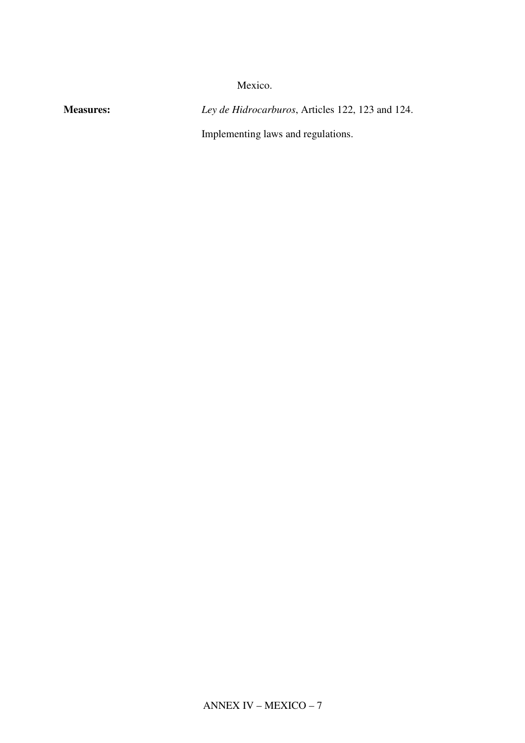Mexico.

**Measures:** *Ley de Hidrocarburos*, Articles 122, 123 and 124.

Implementing laws and regulations.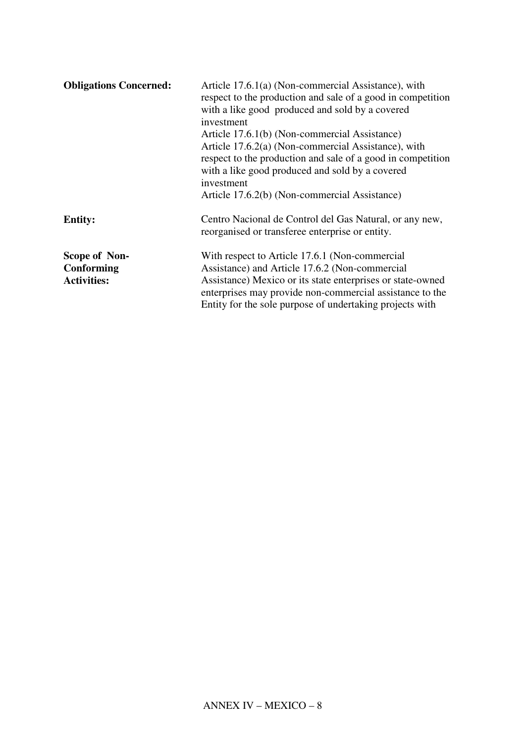| <b>Obligations Concerned:</b>                     | Article 17.6.1(a) (Non-commercial Assistance), with<br>respect to the production and sale of a good in competition<br>with a like good produced and sold by a covered<br>investment<br>Article 17.6.1(b) (Non-commercial Assistance)<br>Article 17.6.2(a) (Non-commercial Assistance), with<br>respect to the production and sale of a good in competition<br>with a like good produced and sold by a covered<br>investment<br>Article 17.6.2(b) (Non-commercial Assistance) |
|---------------------------------------------------|------------------------------------------------------------------------------------------------------------------------------------------------------------------------------------------------------------------------------------------------------------------------------------------------------------------------------------------------------------------------------------------------------------------------------------------------------------------------------|
| <b>Entity:</b>                                    | Centro Nacional de Control del Gas Natural, or any new,<br>reorganised or transferee enterprise or entity.                                                                                                                                                                                                                                                                                                                                                                   |
| Scope of Non-<br>Conforming<br><b>Activities:</b> | With respect to Article 17.6.1 (Non-commercial<br>Assistance) and Article 17.6.2 (Non-commercial<br>Assistance) Mexico or its state enterprises or state-owned<br>enterprises may provide non-commercial assistance to the<br>Entity for the sole purpose of undertaking projects with                                                                                                                                                                                       |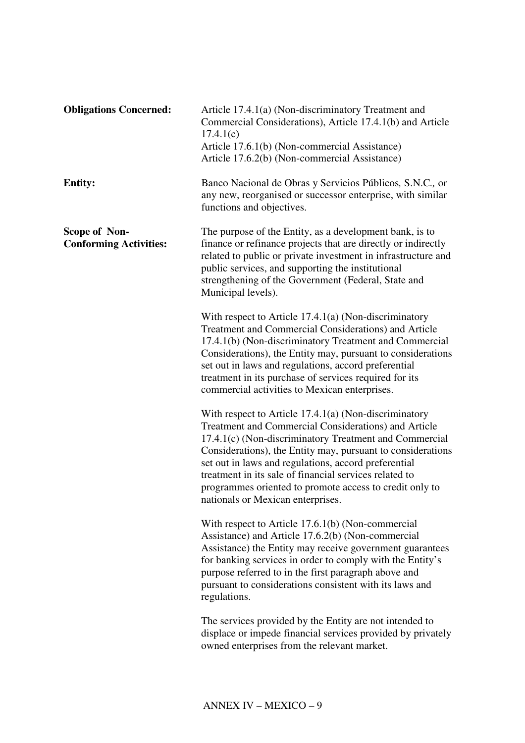| <b>Obligations Concerned:</b>                         | Article 17.4.1(a) (Non-discriminatory Treatment and<br>Commercial Considerations), Article 17.4.1(b) and Article<br>17.4.1(c)<br>Article 17.6.1(b) (Non-commercial Assistance)<br>Article 17.6.2(b) (Non-commercial Assistance)                                                                                                                                                                                                                            |
|-------------------------------------------------------|------------------------------------------------------------------------------------------------------------------------------------------------------------------------------------------------------------------------------------------------------------------------------------------------------------------------------------------------------------------------------------------------------------------------------------------------------------|
| <b>Entity:</b>                                        | Banco Nacional de Obras y Servicios Públicos, S.N.C., or<br>any new, reorganised or successor enterprise, with similar<br>functions and objectives.                                                                                                                                                                                                                                                                                                        |
| <b>Scope of Non-</b><br><b>Conforming Activities:</b> | The purpose of the Entity, as a development bank, is to<br>finance or refinance projects that are directly or indirectly<br>related to public or private investment in infrastructure and<br>public services, and supporting the institutional<br>strengthening of the Government (Federal, State and<br>Municipal levels).                                                                                                                                |
|                                                       | With respect to Article $17.4.1(a)$ (Non-discriminatory<br><b>Treatment and Commercial Considerations) and Article</b><br>17.4.1(b) (Non-discriminatory Treatment and Commercial<br>Considerations), the Entity may, pursuant to considerations<br>set out in laws and regulations, accord preferential<br>treatment in its purchase of services required for its<br>commercial activities to Mexican enterprises.                                         |
|                                                       | With respect to Article $17.4.1(a)$ (Non-discriminatory<br>Treatment and Commercial Considerations) and Article<br>17.4.1(c) (Non-discriminatory Treatment and Commercial<br>Considerations), the Entity may, pursuant to considerations<br>set out in laws and regulations, accord preferential<br>treatment in its sale of financial services related to<br>programmes oriented to promote access to credit only to<br>nationals or Mexican enterprises. |
|                                                       | With respect to Article $17.6.1(b)$ (Non-commercial<br>Assistance) and Article 17.6.2(b) (Non-commercial<br>Assistance) the Entity may receive government guarantees<br>for banking services in order to comply with the Entity's<br>purpose referred to in the first paragraph above and<br>pursuant to considerations consistent with its laws and<br>regulations.                                                                                       |
|                                                       | The services provided by the Entity are not intended to<br>displace or impede financial services provided by privately<br>owned enterprises from the relevant market.                                                                                                                                                                                                                                                                                      |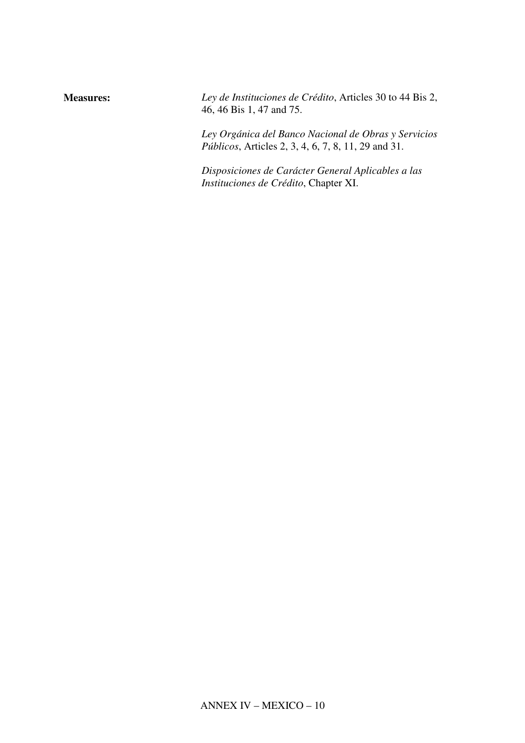| <b>Measures:</b> | Ley de Instituciones de Crédito, Articles 30 to 44 Bis 2,<br>46, 46 Bis 1, 47 and 75.                               |
|------------------|---------------------------------------------------------------------------------------------------------------------|
|                  | Ley Orgánica del Banco Nacional de Obras y Servicios<br><i>Públicos</i> , Articles 2, 3, 4, 6, 7, 8, 11, 29 and 31. |
|                  | Disposiciones de Carácter General Aplicables a las<br>Instituciones de Crédito, Chapter XI.                         |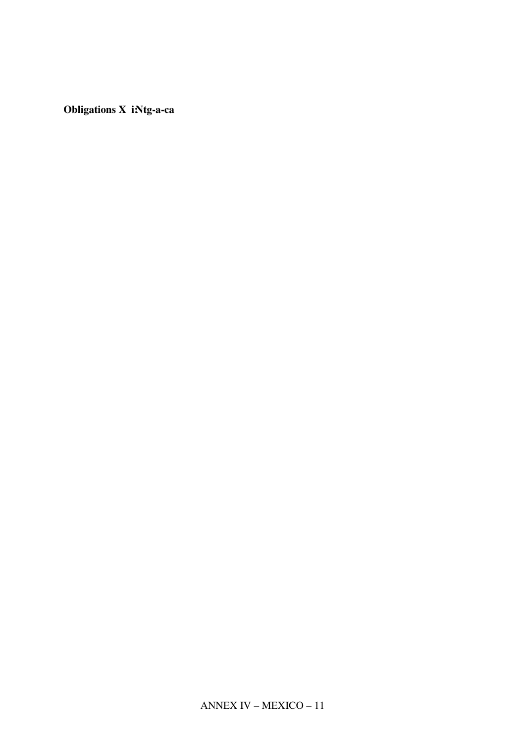ANNEX IV – MEXICO – 11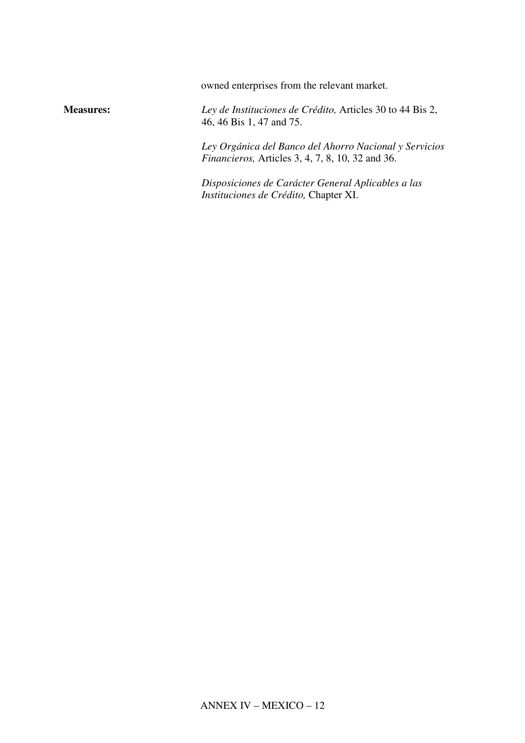owned enterprises from the relevant market.

**Measures:** *Ley de Instituciones de Crédito,* Articles 30 to 44 Bis 2, 46, 46 Bis 1, 47 and 75.

> *Ley Orgánica del Banco del Ahorro Nacional y Servicios Financieros,* Articles 3, 4, 7, 8, 10, 32 and 36.

*Disposiciones de Carácter General Aplicables a las Instituciones de Crédito,* Chapter XI.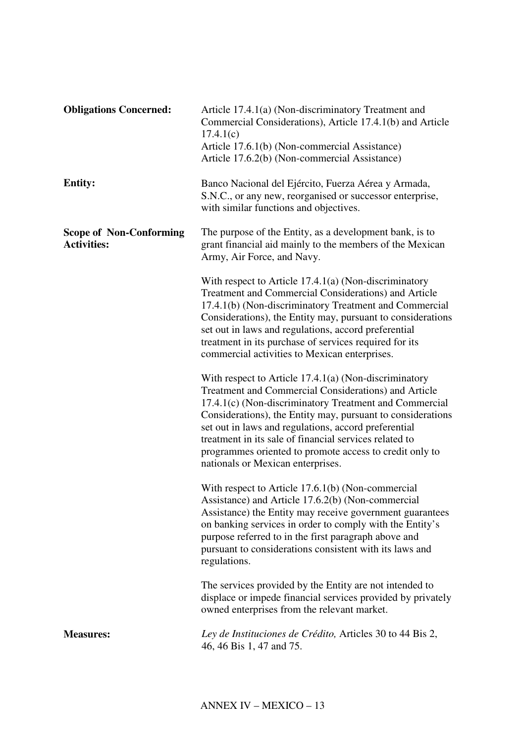| <b>Obligations Concerned:</b>                        | Article 17.4.1(a) (Non-discriminatory Treatment and<br>Commercial Considerations), Article 17.4.1(b) and Article<br>17.4.1(c)<br>Article 17.6.1(b) (Non-commercial Assistance)<br>Article 17.6.2(b) (Non-commercial Assistance)                                                                                                                                                                                                                            |
|------------------------------------------------------|------------------------------------------------------------------------------------------------------------------------------------------------------------------------------------------------------------------------------------------------------------------------------------------------------------------------------------------------------------------------------------------------------------------------------------------------------------|
| <b>Entity:</b>                                       | Banco Nacional del Ejército, Fuerza Aérea y Armada,<br>S.N.C., or any new, reorganised or successor enterprise,<br>with similar functions and objectives.                                                                                                                                                                                                                                                                                                  |
| <b>Scope of Non-Conforming</b><br><b>Activities:</b> | The purpose of the Entity, as a development bank, is to<br>grant financial aid mainly to the members of the Mexican<br>Army, Air Force, and Navy.                                                                                                                                                                                                                                                                                                          |
|                                                      | With respect to Article $17.4.1(a)$ (Non-discriminatory<br>Treatment and Commercial Considerations) and Article<br>17.4.1(b) (Non-discriminatory Treatment and Commercial<br>Considerations), the Entity may, pursuant to considerations<br>set out in laws and regulations, accord preferential<br>treatment in its purchase of services required for its<br>commercial activities to Mexican enterprises.                                                |
|                                                      | With respect to Article $17.4.1(a)$ (Non-discriminatory<br>Treatment and Commercial Considerations) and Article<br>17.4.1(c) (Non-discriminatory Treatment and Commercial<br>Considerations), the Entity may, pursuant to considerations<br>set out in laws and regulations, accord preferential<br>treatment in its sale of financial services related to<br>programmes oriented to promote access to credit only to<br>nationals or Mexican enterprises. |
|                                                      | With respect to Article 17.6.1(b) (Non-commercial<br>Assistance) and Article 17.6.2(b) (Non-commercial<br>Assistance) the Entity may receive government guarantees<br>on banking services in order to comply with the Entity's<br>purpose referred to in the first paragraph above and<br>pursuant to considerations consistent with its laws and<br>regulations.                                                                                          |
|                                                      | The services provided by the Entity are not intended to<br>displace or impede financial services provided by privately<br>owned enterprises from the relevant market.                                                                                                                                                                                                                                                                                      |
| <b>Measures:</b>                                     | Ley de Instituciones de Crédito, Articles 30 to 44 Bis 2,<br>46, 46 Bis 1, 47 and 75.                                                                                                                                                                                                                                                                                                                                                                      |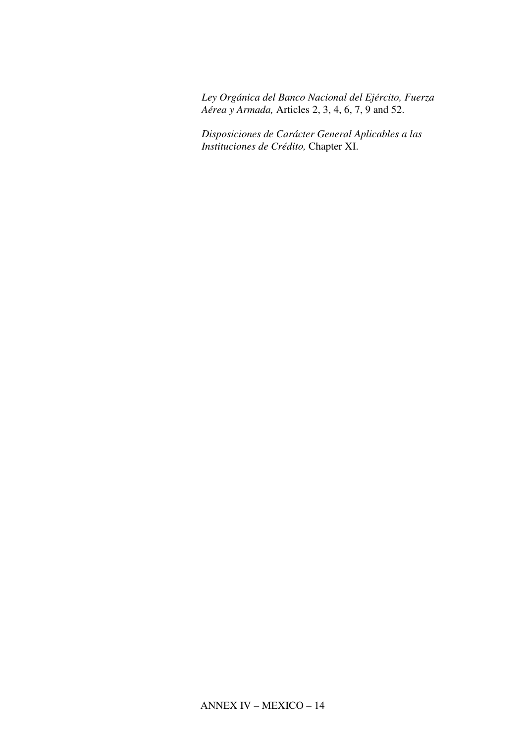*Ley Orgánica del Banco Nacional del Ejército, Fuerza Aérea y Armada,* Articles 2, 3, 4, 6, 7, 9 and 52.

*Disposiciones de Carácter General Aplicables a las Instituciones de Crédito,* Chapter XI.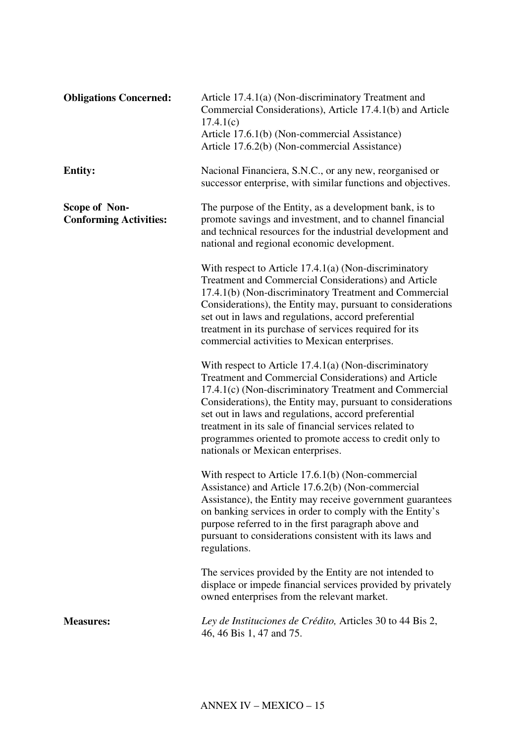| <b>Obligations Concerned:</b>                         | Article 17.4.1(a) (Non-discriminatory Treatment and<br>Commercial Considerations), Article 17.4.1(b) and Article<br>17.4.1(c)<br>Article 17.6.1(b) (Non-commercial Assistance)<br>Article 17.6.2(b) (Non-commercial Assistance)                                                                                                                                                                                                                            |
|-------------------------------------------------------|------------------------------------------------------------------------------------------------------------------------------------------------------------------------------------------------------------------------------------------------------------------------------------------------------------------------------------------------------------------------------------------------------------------------------------------------------------|
| <b>Entity:</b>                                        | Nacional Financiera, S.N.C., or any new, reorganised or<br>successor enterprise, with similar functions and objectives.                                                                                                                                                                                                                                                                                                                                    |
| <b>Scope of Non-</b><br><b>Conforming Activities:</b> | The purpose of the Entity, as a development bank, is to<br>promote savings and investment, and to channel financial<br>and technical resources for the industrial development and<br>national and regional economic development.                                                                                                                                                                                                                           |
|                                                       | With respect to Article $17.4.1(a)$ (Non-discriminatory<br>Treatment and Commercial Considerations) and Article<br>17.4.1(b) (Non-discriminatory Treatment and Commercial<br>Considerations), the Entity may, pursuant to considerations<br>set out in laws and regulations, accord preferential<br>treatment in its purchase of services required for its<br>commercial activities to Mexican enterprises.                                                |
|                                                       | With respect to Article $17.4.1(a)$ (Non-discriminatory<br>Treatment and Commercial Considerations) and Article<br>17.4.1(c) (Non-discriminatory Treatment and Commercial<br>Considerations), the Entity may, pursuant to considerations<br>set out in laws and regulations, accord preferential<br>treatment in its sale of financial services related to<br>programmes oriented to promote access to credit only to<br>nationals or Mexican enterprises. |
|                                                       | With respect to Article 17.6.1(b) (Non-commercial<br>Assistance) and Article 17.6.2(b) (Non-commercial<br>Assistance), the Entity may receive government guarantees<br>on banking services in order to comply with the Entity's<br>purpose referred to in the first paragraph above and<br>pursuant to considerations consistent with its laws and<br>regulations.                                                                                         |
|                                                       | The services provided by the Entity are not intended to<br>displace or impede financial services provided by privately<br>owned enterprises from the relevant market.                                                                                                                                                                                                                                                                                      |
| <b>Measures:</b>                                      | Ley de Instituciones de Crédito, Articles 30 to 44 Bis 2,<br>46, 46 Bis 1, 47 and 75.                                                                                                                                                                                                                                                                                                                                                                      |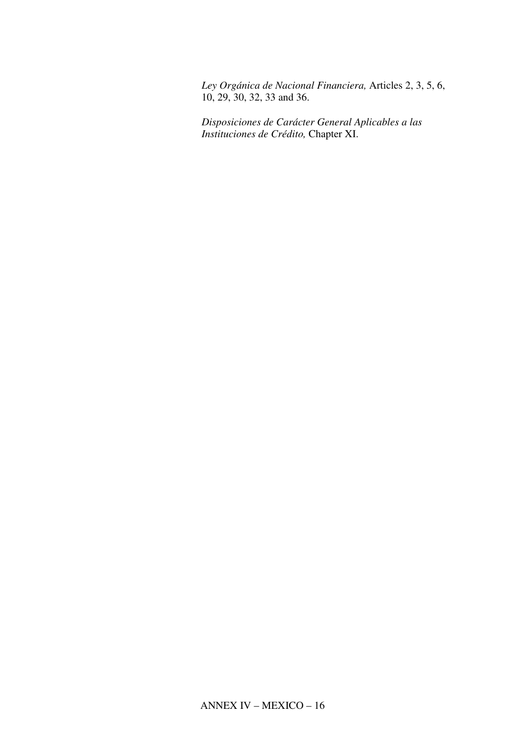*Ley Orgánica de Nacional Financiera,* Articles 2, 3, 5, 6, 10, 29, 30, 32, 33 and 36.

*Disposiciones de Carácter General Aplicables a las Instituciones de Crédito,* Chapter XI.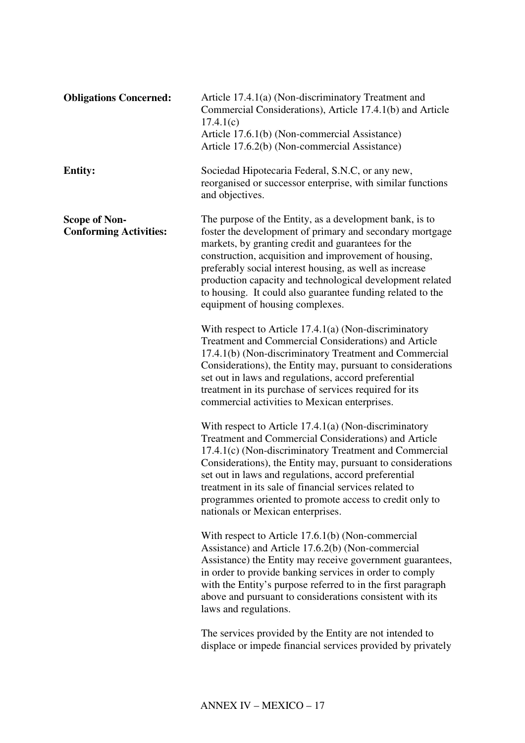| <b>Obligations Concerned:</b>                         | Article 17.4.1(a) (Non-discriminatory Treatment and<br>Commercial Considerations), Article 17.4.1(b) and Article<br>17.4.1(c)<br>Article 17.6.1(b) (Non-commercial Assistance)<br>Article 17.6.2(b) (Non-commercial Assistance)                                                                                                                                                                                                                                   |
|-------------------------------------------------------|-------------------------------------------------------------------------------------------------------------------------------------------------------------------------------------------------------------------------------------------------------------------------------------------------------------------------------------------------------------------------------------------------------------------------------------------------------------------|
| <b>Entity:</b>                                        | Sociedad Hipotecaria Federal, S.N.C, or any new,<br>reorganised or successor enterprise, with similar functions<br>and objectives.                                                                                                                                                                                                                                                                                                                                |
| <b>Scope of Non-</b><br><b>Conforming Activities:</b> | The purpose of the Entity, as a development bank, is to<br>foster the development of primary and secondary mortgage<br>markets, by granting credit and guarantees for the<br>construction, acquisition and improvement of housing,<br>preferably social interest housing, as well as increase<br>production capacity and technological development related<br>to housing. It could also guarantee funding related to the<br>equipment of housing complexes.       |
|                                                       | With respect to Article $17.4.1(a)$ (Non-discriminatory<br>Treatment and Commercial Considerations) and Article<br>17.4.1(b) (Non-discriminatory Treatment and Commercial<br>Considerations), the Entity may, pursuant to considerations<br>set out in laws and regulations, accord preferential<br>treatment in its purchase of services required for its<br>commercial activities to Mexican enterprises.                                                       |
|                                                       | With respect to Article $17.4.1(a)$ (Non-discriminatory<br><b>Treatment and Commercial Considerations) and Article</b><br>17.4.1(c) (Non-discriminatory Treatment and Commercial<br>Considerations), the Entity may, pursuant to considerations<br>set out in laws and regulations, accord preferential<br>treatment in its sale of financial services related to<br>programmes oriented to promote access to credit only to<br>nationals or Mexican enterprises. |
|                                                       | With respect to Article 17.6.1(b) (Non-commercial<br>Assistance) and Article 17.6.2(b) (Non-commercial<br>Assistance) the Entity may receive government guarantees,<br>in order to provide banking services in order to comply<br>with the Entity's purpose referred to in the first paragraph<br>above and pursuant to considerations consistent with its<br>laws and regulations.                                                                               |
|                                                       | The services provided by the Entity are not intended to<br>displace or impede financial services provided by privately                                                                                                                                                                                                                                                                                                                                            |